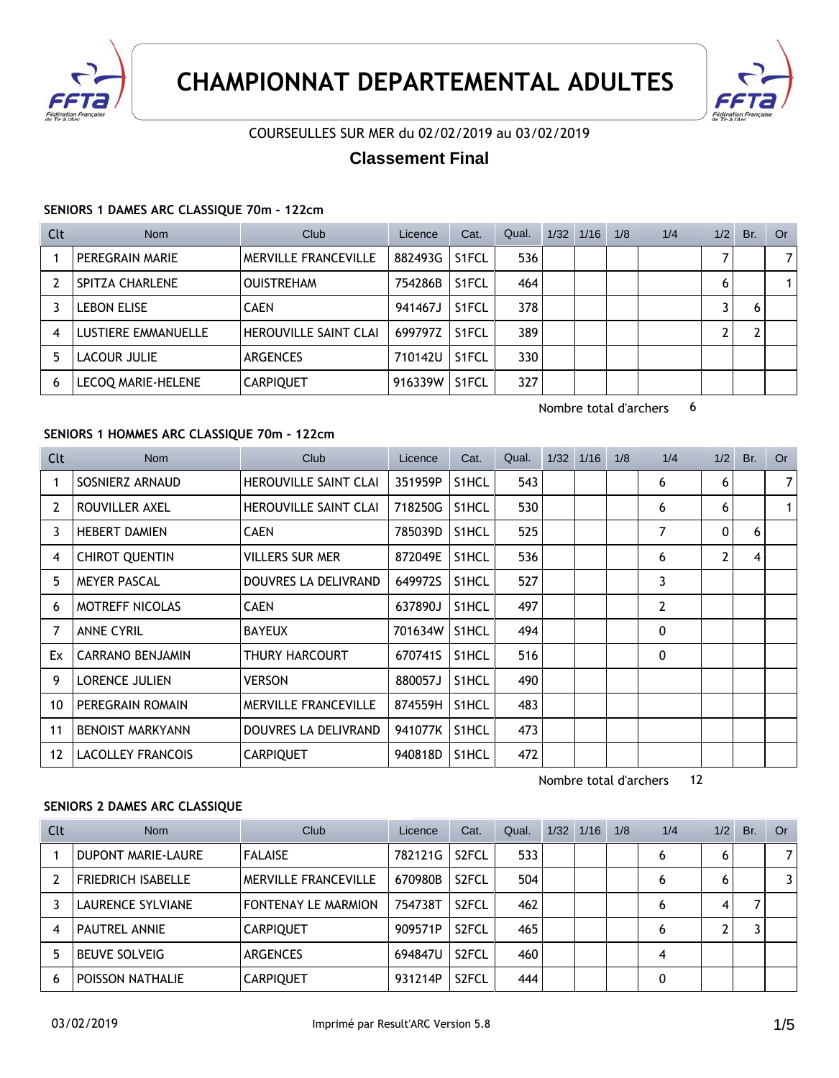



## COURSEULLES SUR MER du 02/02/2019 au 03/02/2019

# **Classement Final**

### **SENIORS 1 DAMES ARC CLASSIQUE 70m - 122cm**

| Clt | <b>Nom</b>          | Club                  | Licence | Cat.               | Qual. | 1/32 | 1/16 | 1/8 | 1/4 | 1/2 | Br. | Or 0 |
|-----|---------------------|-----------------------|---------|--------------------|-------|------|------|-----|-----|-----|-----|------|
|     | PEREGRAIN MARIE     | MERVILLE FRANCEVILLE  | 882493G | <b>S1FCL</b>       | 536   |      |      |     |     |     |     | 7    |
|     | SPITZA CHARLENE     | <b>OUISTREHAM</b>     | 754286B | S1FCL              | 464   |      |      |     |     | 6   |     |      |
|     | <b>LEBON ELISE</b>  | <b>CAEN</b>           | 941467J | S <sub>1</sub> FCL | 378   |      |      |     |     |     |     |      |
| 4   | LUSTIERE EMMANUELLE | HEROUVILLE SAINT CLAI | 699797Z | <b>S1FCL</b>       | 389   |      |      |     |     |     |     |      |
| 5   | LACOUR JULIE        | <b>ARGENCES</b>       | 710142U | S1FCL              | 330   |      |      |     |     |     |     |      |
| 6   | LECOO MARIE-HELENE  | <b>CARPIQUET</b>      | 916339W | S <sub>1</sub> FCL | 327   |      |      |     |     |     |     |      |

Nombre total d'archers 6

Nombre total d'archers 12

## **SENIORS 1 HOMMES ARC CLASSIQUE 70m - 122cm**

| Clt | <b>Nom</b>               | <b>Club</b>                  | Licence | Cat.               | Qual. | $1/32$ $1/16$ | 1/8 | 1/4            | 1/2            | Br. | <b>Or</b>      |
|-----|--------------------------|------------------------------|---------|--------------------|-------|---------------|-----|----------------|----------------|-----|----------------|
|     | SOSNIERZ ARNAUD          | <b>HEROUVILLE SAINT CLAI</b> | 351959P | S1HCL              | 543   |               |     | 6              | 6              |     | $\overline{7}$ |
| 2   | ROUVILLER AXEL           | <b>HEROUVILLE SAINT CLAI</b> | 718250G | S <sub>1</sub> HCL | 530   |               |     | 6              | 6              |     | $\mathbf{1}$   |
| 3   | <b>HEBERT DAMIEN</b>     | <b>CAEN</b>                  | 785039D | S1HCL              | 525   |               |     | 7              | 0              | 6   |                |
| 4   | <b>CHIROT QUENTIN</b>    | VILLERS SUR MER              | 872049E | S1HCL              | 536   |               |     | 6              | $\overline{2}$ | 4   |                |
| 5   | <b>MEYER PASCAL</b>      | DOUVRES LA DELIVRAND         | 649972S | S1HCL              | 527   |               |     | 3              |                |     |                |
| 6   | <b>MOTREFF NICOLAS</b>   | <b>CAEN</b>                  | 637890J | S1HCL              | 497   |               |     | $\overline{2}$ |                |     |                |
| 7   | <b>ANNE CYRIL</b>        | <b>BAYEUX</b>                | 701634W | S <sub>1</sub> HCL | 494   |               |     | 0              |                |     |                |
| Ex  | <b>CARRANO BENJAMIN</b>  | THURY HARCOURT               | 670741S | S1HCL              | 516   |               |     | 0              |                |     |                |
| 9   | <b>LORENCE JULIEN</b>    | <b>VERSON</b>                | 880057J | S1HCL              | 490   |               |     |                |                |     |                |
| 10  | PEREGRAIN ROMAIN         | <b>MERVILLE FRANCEVILLE</b>  | 874559H | S1HCL              | 483   |               |     |                |                |     |                |
| 11  | <b>BENOIST MARKYANN</b>  | DOUVRES LA DELIVRAND         | 941077K | S <sub>1</sub> HCL | 473   |               |     |                |                |     |                |
| 12  | <b>LACOLLEY FRANCOIS</b> | <b>CARPIQUET</b>             | 940818D | S1HCL              | 472   |               |     |                |                |     |                |

#### **SENIORS 2 DAMES ARC CLASSIQUE**

| Clt | <b>Nom</b>                | Club                       | Licence | Cat.               | Qual. | $1/32$ $1/16$ | 1/8 | 1/4 | 1/2 | Br. | Or .           |
|-----|---------------------------|----------------------------|---------|--------------------|-------|---------------|-----|-----|-----|-----|----------------|
|     | <b>DUPONT MARIE-LAURE</b> | <b>FALAISE</b>             | 782121G | S <sub>2</sub> FCL | 533   |               |     | 6   | 6   |     | 7 <sup>1</sup> |
|     | <b>FRIEDRICH ISABELLE</b> | MERVILLE FRANCEVILLE       | 670980B | S <sub>2</sub> FCL | 504   |               |     |     | 6   |     |                |
|     | LAURENCE SYLVIANE         | <b>FONTENAY LE MARMION</b> | 754738T | S <sub>2</sub> FCL | 462   |               |     |     | 4   |     |                |
|     | <b>PAUTREL ANNIE</b>      | <b>CARPIQUET</b>           | 909571P | S <sub>2</sub> FCL | 465   |               |     | 6   | ົ   |     |                |
|     | <b>BEUVE SOLVEIG</b>      | <b>ARGENCES</b>            | 694847U | S <sub>2</sub> FCL | 460   |               |     |     |     |     |                |
| 6   | POISSON NATHALIE          | <b>CARPIQUET</b>           | 931214P | S <sub>2</sub> FCL | 444   |               |     |     |     |     |                |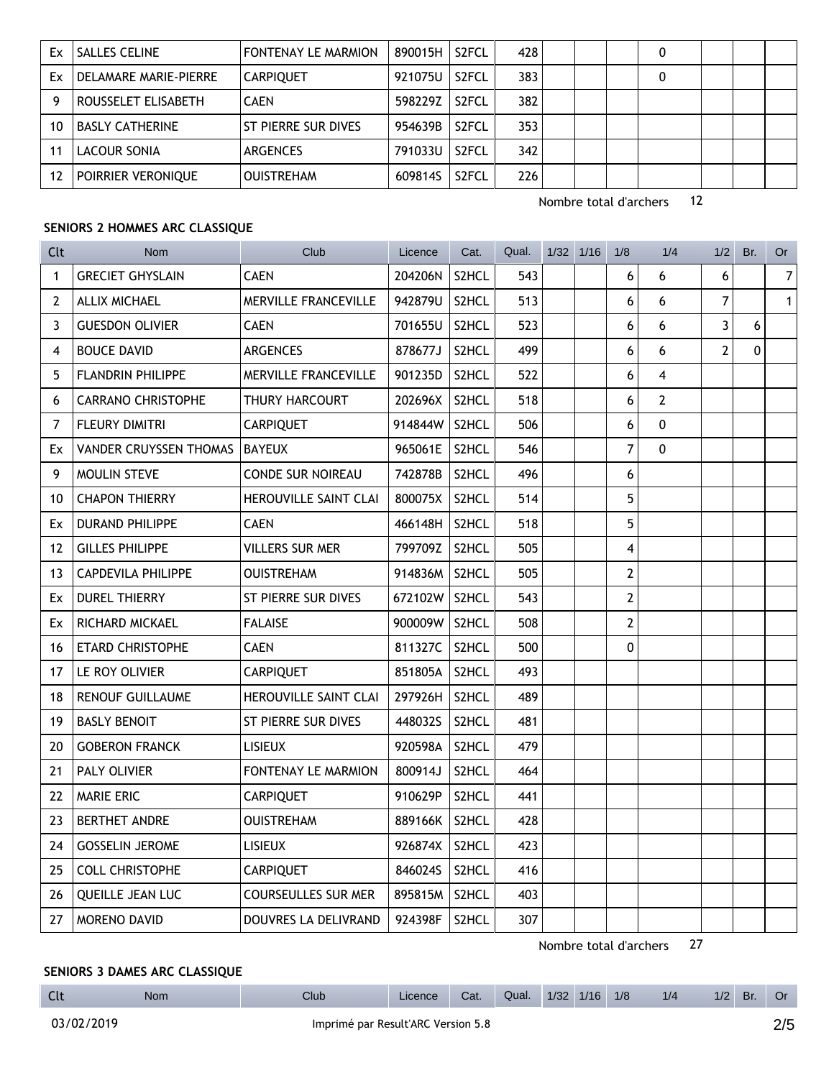| Ex | <b>SALLES CELINE</b>  | FONTENAY LE MARMION | 890015H | S <sub>2</sub> FCL | 428 |  |  |  |  |
|----|-----------------------|---------------------|---------|--------------------|-----|--|--|--|--|
| Ex | DELAMARE MARIE-PIERRE | <b>CARPIQUET</b>    | 921075U | S <sub>2</sub> FCL | 383 |  |  |  |  |
|    | ROUSSELET ELISABETH   | <b>CAEN</b>         | 598229Z | S <sub>2</sub> FCL | 382 |  |  |  |  |
| 10 | BASLY CATHERINE       | ST PIERRE SUR DIVES | 954639B | S2FCL              | 353 |  |  |  |  |
|    | LACOUR SONIA          | <b>ARGENCES</b>     | 791033U | S <sub>2</sub> FCL | 342 |  |  |  |  |
|    | POIRRIER VERONIQUE    | <b>OUISTREHAM</b>   | 609814S | S <sub>2</sub> FCL | 226 |  |  |  |  |

Nombre total d'archers 12

#### **SENIORS 2 HOMMES ARC CLASSIQUE**

| Clt            | <b>Nom</b>                    | Club                        | Licence | Cat.               | Qual. | $1/32$ $1/16$ | 1/8            | 1/4            | 1/2            | Br. | Or             |
|----------------|-------------------------------|-----------------------------|---------|--------------------|-------|---------------|----------------|----------------|----------------|-----|----------------|
| $\mathbf{1}$   | <b>GRECIET GHYSLAIN</b>       | <b>CAEN</b>                 | 204206N | S2HCL              | 543   |               | 6              | 6              | 6              |     | $\overline{7}$ |
| $\overline{2}$ | <b>ALLIX MICHAEL</b>          | <b>MERVILLE FRANCEVILLE</b> | 942879U | S2HCL              | 513   |               | 6              | 6              | 7              |     | $\mathbf{1}$   |
| 3              | <b>GUESDON OLIVIER</b>        | <b>CAEN</b>                 | 701655U | S2HCL              | 523   |               | 6              | 6              | 3              | 6   |                |
| 4              | <b>BOUCE DAVID</b>            | <b>ARGENCES</b>             | 878677J | S2HCL              | 499   |               | 6              | 6              | $\overline{2}$ | 0   |                |
| 5              | FLANDRIN PHILIPPE             | MERVILLE FRANCEVILLE        | 901235D | S2HCL              | 522   |               | 6              | 4              |                |     |                |
| 6              | <b>CARRANO CHRISTOPHE</b>     | <b>THURY HARCOURT</b>       | 202696X | S2HCL              | 518   |               | 6              | $\overline{2}$ |                |     |                |
| $\overline{7}$ | <b>FLEURY DIMITRI</b>         | <b>CARPIQUET</b>            | 914844W | S2HCL              | 506   |               | 6              | $\mathbf 0$    |                |     |                |
| Ex             | <b>VANDER CRUYSSEN THOMAS</b> | <b>BAYEUX</b>               | 965061E | S2HCL              | 546   |               | 7              | $\pmb{0}$      |                |     |                |
| 9              | MOULIN STEVE                  | <b>CONDE SUR NOIREAU</b>    | 742878B | S2HCL              | 496   |               | 6              |                |                |     |                |
| 10             | <b>CHAPON THIERRY</b>         | HEROUVILLE SAINT CLAI       | 800075X | S2HCL              | 514   |               | 5              |                |                |     |                |
| Ex             | <b>DURAND PHILIPPE</b>        | <b>CAEN</b>                 | 466148H | S2HCL              | 518   |               | 5              |                |                |     |                |
| 12             | <b>GILLES PHILIPPE</b>        | <b>VILLERS SUR MER</b>      | 799709Z | S2HCL              | 505   |               | 4              |                |                |     |                |
| 13             | <b>CAPDEVILA PHILIPPE</b>     | <b>OUISTREHAM</b>           | 914836M | S2HCL              | 505   |               | $\overline{2}$ |                |                |     |                |
| Ex             | <b>DUREL THIERRY</b>          | ST PIERRE SUR DIVES         | 672102W | S <sub>2</sub> HCL | 543   |               | 2              |                |                |     |                |
| Ex             | RICHARD MICKAEL               | <b>FALAISE</b>              | 900009W | S <sub>2</sub> HCL | 508   |               | 2              |                |                |     |                |
| 16             | <b>ETARD CHRISTOPHE</b>       | <b>CAEN</b>                 | 811327C | S2HCL              | 500   |               | 0              |                |                |     |                |
| 17             | LE ROY OLIVIER                | <b>CARPIQUET</b>            | 851805A | S2HCL              | 493   |               |                |                |                |     |                |
| 18             | <b>RENOUF GUILLAUME</b>       | HEROUVILLE SAINT CLAI       | 297926H | S <sub>2</sub> HCL | 489   |               |                |                |                |     |                |
| 19             | <b>BASLY BENOIT</b>           | ST PIERRE SUR DIVES         | 448032S | S2HCL              | 481   |               |                |                |                |     |                |
| 20             | <b>GOBERON FRANCK</b>         | <b>LISIEUX</b>              | 920598A | S2HCL              | 479   |               |                |                |                |     |                |
| 21             | <b>PALY OLIVIER</b>           | <b>FONTENAY LE MARMION</b>  | 800914J | S <sub>2</sub> HCL | 464   |               |                |                |                |     |                |
| 22             | <b>MARIE ERIC</b>             | <b>CARPIQUET</b>            | 910629P | S2HCL              | 441   |               |                |                |                |     |                |
| 23             | <b>BERTHET ANDRE</b>          | <b>OUISTREHAM</b>           | 889166K | S2HCL              | 428   |               |                |                |                |     |                |
| 24             | <b>GOSSELIN JEROME</b>        | <b>LISIEUX</b>              | 926874X | S2HCL              | 423   |               |                |                |                |     |                |
| 25             | <b>COLL CHRISTOPHE</b>        | <b>CARPIQUET</b>            | 846024S | S2HCL              | 416   |               |                |                |                |     |                |
| 26             | QUEILLE JEAN LUC              | <b>COURSEULLES SUR MER</b>  | 895815M | S2HCL              | 403   |               |                |                |                |     |                |
| 27             | MORENO DAVID                  | DOUVRES LA DELIVRAND        | 924398F | S2HCL              | 307   |               |                |                |                |     |                |

Nombre total d'archers 27

Licence Cat. Qual. 1/32 1/16 1/8 1/4 1/2 Br. Or

## **SENIORS 3 DAMES ARC CLASSIQUE**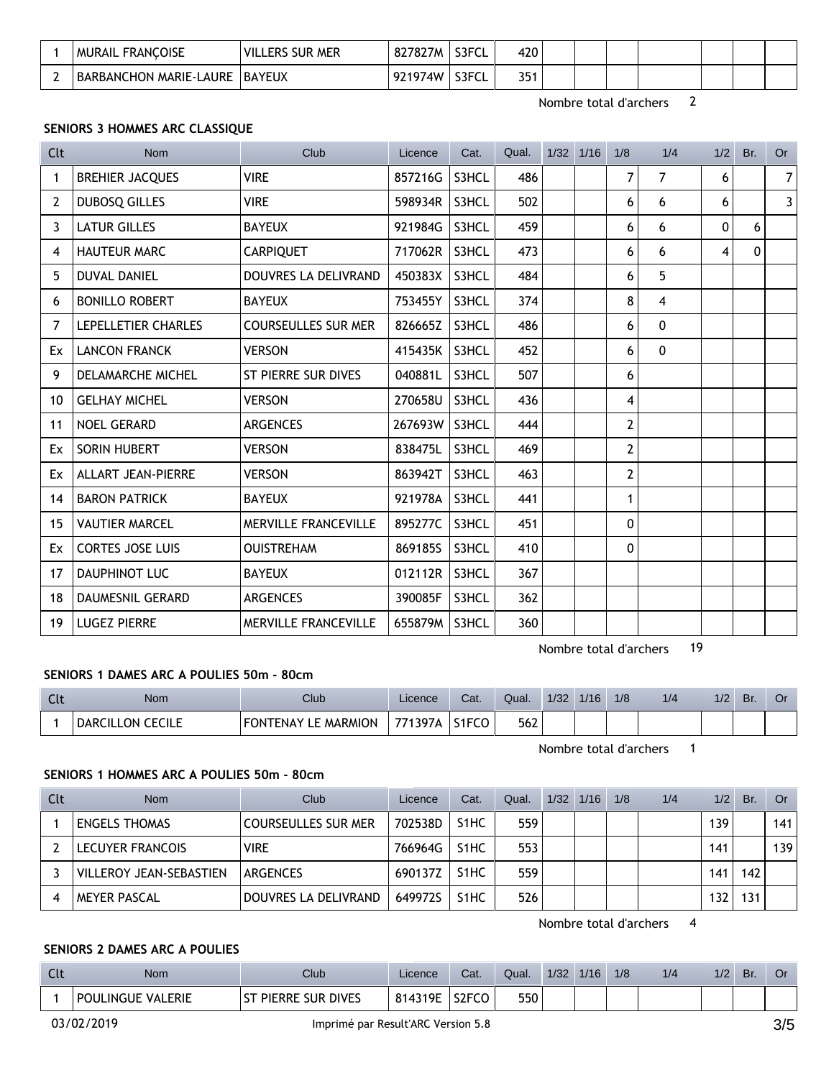|   | MURAIL FRANCOISE              | <b>VILL</b><br>: MER<br><b>SUR</b><br>_ERS | 827827M | S3FCL | 420 |  |  |  |  |
|---|-------------------------------|--------------------------------------------|---------|-------|-----|--|--|--|--|
| - | <b>BARBANCHON MARIE-LAURE</b> | <b>BAYEUX</b>                              | 971974W | S3FCL | 351 |  |  |  |  |

Nombre total d'archers 2

## SENIORS 3 HOMMES ARC CLASSIQUE

| <b>Clt</b>     | <b>Nom</b>                | Club                        | Licence       | Cat.  | Qual. | $1/32$ $1/16$ | 1/8          | 1/4      | 1/2          | Br.      | <b>Or</b>      |
|----------------|---------------------------|-----------------------------|---------------|-------|-------|---------------|--------------|----------|--------------|----------|----------------|
| 1              | <b>BREHIER JACQUES</b>    | <b>VIRE</b>                 | 857216G       | S3HCL | 486   |               | 7            | 7        | 6            |          | 7 <sup>1</sup> |
| $\overline{2}$ | <b>DUBOSQ GILLES</b>      | <b>VIRE</b>                 | 598934R       | S3HCL | 502   |               | 6            | 6        | 6            |          | $\overline{3}$ |
| 3              | <b>LATUR GILLES</b>       | <b>BAYEUX</b>               | 921984G       | S3HCL | 459   |               | 6            | 6        | $\mathbf{0}$ | 6        |                |
| 4              | <b>HAUTEUR MARC</b>       | <b>CARPIQUET</b>            | 717062R       | S3HCL | 473   |               | 6            | 6        | 4            | $\Omega$ |                |
| 5              | <b>DUVAL DANIEL</b>       | DOUVRES LA DELIVRAND        | 450383X       | S3HCL | 484   |               | 6            | 5        |              |          |                |
| 6              | <b>BONILLO ROBERT</b>     | <b>BAYEUX</b>               | 753455Y       | S3HCL | 374   |               | 8            | 4        |              |          |                |
| 7              | LEPELLETIER CHARLES       | <b>COURSEULLES SUR MER</b>  | 826665Z       | S3HCL | 486   |               | 6            | $\Omega$ |              |          |                |
| Ex             | <b>LANCON FRANCK</b>      | <b>VERSON</b>               | 415435K       | S3HCL | 452   |               | 6            | $\Omega$ |              |          |                |
| 9              | <b>DELAMARCHE MICHEL</b>  | ST PIERRE SUR DIVES         | 040881L       | S3HCL | 507   |               | 6            |          |              |          |                |
| 10             | <b>GELHAY MICHEL</b>      | <b>VERSON</b>               | 270658U       | S3HCL | 436   |               | 4            |          |              |          |                |
| 11             | NOEL GERARD               | <b>ARGENCES</b>             | 267693W       | S3HCL | 444   |               | 2            |          |              |          |                |
| Ex             | SORIN HUBERT              | <b>VERSON</b>               | 838475L       | S3HCL | 469   |               | $\mathbf{2}$ |          |              |          |                |
| Ex             | <b>ALLART JEAN-PIERRE</b> | <b>VERSON</b>               | 863942T       | S3HCL | 463   |               | 2            |          |              |          |                |
| 14             | <b>BARON PATRICK</b>      | <b>BAYEUX</b>               | 921978A       | S3HCL | 441   |               | $\mathbf{1}$ |          |              |          |                |
| 15             | <b>VAUTIER MARCEL</b>     | MERVILLE FRANCEVILLE        | 895277C       | S3HCL | 451   |               | $\pmb{0}$    |          |              |          |                |
| Ex             | <b>CORTES JOSE LUIS</b>   | <b>OUISTREHAM</b>           | 869185S       | S3HCL | 410   |               | $\mathbf{0}$ |          |              |          |                |
| 17             | <b>DAUPHINOT LUC</b>      | <b>BAYEUX</b>               | 012112R       | S3HCL | 367   |               |              |          |              |          |                |
| 18             | <b>DAUMESNIL GERARD</b>   | <b>ARGENCES</b>             | 390085F       | S3HCL | 362   |               |              |          |              |          |                |
| 19             | <b>LUGEZ PIERRE</b>       | <b>MERVILLE FRANCEVILLE</b> | 655879M S3HCL |       | 360   |               |              |          |              |          |                |

Nombre total d'archers 19

#### SENIORS 1 DAMES ARC A POULIES 50m - 80cm

| <b>Clt</b> | <b>Nom</b>       | Club                            | Licence | Cat.               | Qual. | 1/32 | 1/16 | 1/8 | 1/4 | 1/2 | Br. | Or |
|------------|------------------|---------------------------------|---------|--------------------|-------|------|------|-----|-----|-----|-----|----|
|            | DARCILLON CECILE | LE MARMION<br><b>FONTENAY L</b> | 771397A | S <sub>1</sub> FCO | 562   |      |      |     |     |     |     |    |

Nombre total d'archers 1

### SENIORS 1 HOMMES ARC A POULIES 50m - 80cm

| Clt | <b>Nom</b>              | Club                       | Licence | Cat.              | Qual. | $1/32$ 1/16 | 1/8 | 1/4 | 1/2 | Br. | Or  |
|-----|-------------------------|----------------------------|---------|-------------------|-------|-------------|-----|-----|-----|-----|-----|
|     | <b>ENGELS THOMAS</b>    | <b>COURSEULLES SUR MER</b> | 702538D | S <sub>1</sub> HC | 559   |             |     |     | 139 |     | 141 |
|     | LECUYER FRANCOIS        | <b>VIRE</b>                | 766964G | S <sub>1</sub> HC | 553   |             |     |     | 141 |     | 139 |
|     | VILLEROY JEAN-SEBASTIEN | ARGENCES                   | 690137Z | S <sub>1</sub> HC | 559   |             |     |     | 141 | 142 |     |
|     | <b>MEYER PASCAL</b>     | DOUVRES LA DELIVRAND       | 649972S | S <sub>1</sub> HC | 526   |             |     |     | 132 | 131 |     |

Nombre total d'archers 4

## SENIORS 2 DAMES ARC A POULIES

| . | Nom                                | Club                              | Licence      | Cat.               | Qual. | 1/32 | 1/16 | 1/8 | 1/4 | 1/2 | Br. |  |
|---|------------------------------------|-----------------------------------|--------------|--------------------|-------|------|------|-----|-----|-----|-----|--|
|   | <b>VALERIE</b><br><b>POULINGUE</b> | <b>SUR DIVES</b><br><b>PIERRE</b> | 4319F<br>814 | C2ECA<br>∍∠F⊑<br>w | 550   |      |      |     |     |     |     |  |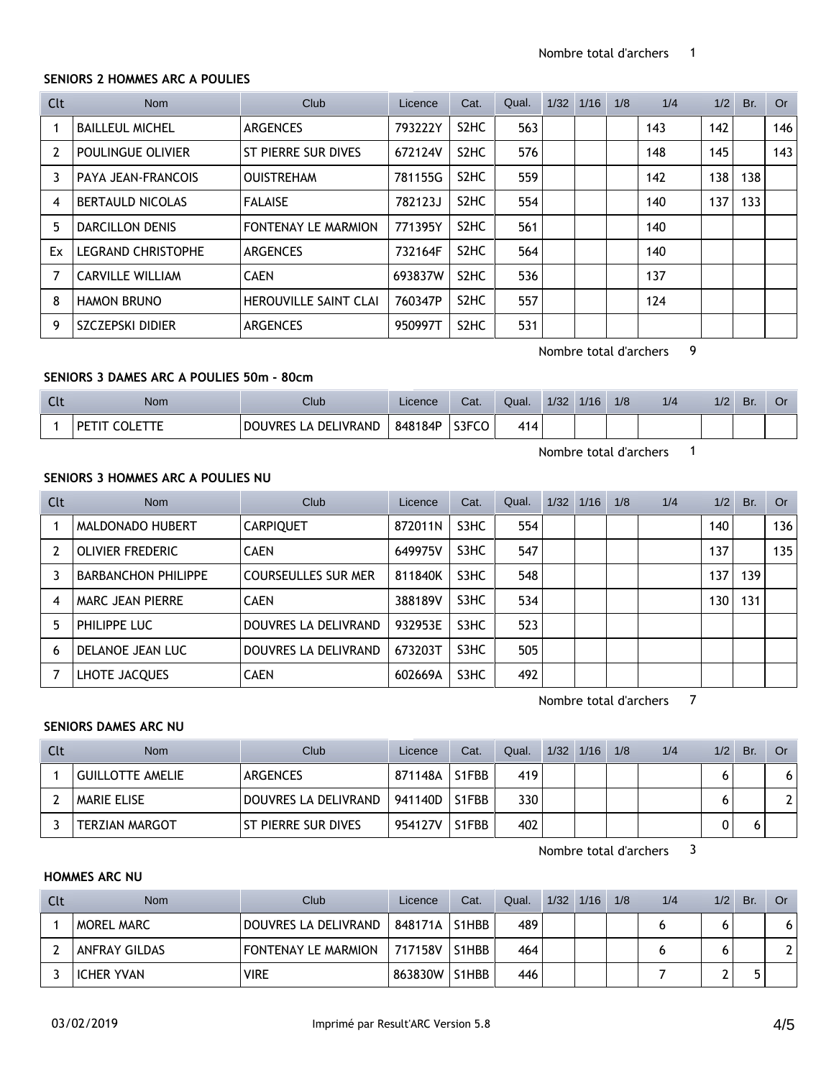#### **SENIORS 2 HOMMES ARC A POULIES**

| Clt            | Nom                       | <b>Club</b>                  | Licence | Cat.                          | Qual. | 1/32 | 1/16 | 1/8 | 1/4 | 1/2 | Br. | <b>Or</b> |
|----------------|---------------------------|------------------------------|---------|-------------------------------|-------|------|------|-----|-----|-----|-----|-----------|
|                | <b>BAILLEUL MICHEL</b>    | <b>ARGENCES</b>              | 793222Y | S <sub>2</sub> H <sub>C</sub> | 563   |      |      |     | 143 | 142 |     | 146       |
| $\overline{2}$ | POULINGUE OLIVIER         | ST PIERRE SUR DIVES          | 672124V | S <sub>2</sub> HC             | 576   |      |      |     | 148 | 145 |     | 143       |
| 3              | PAYA JEAN-FRANCOIS        | <b>OUISTREHAM</b>            | 781155G | S <sub>2</sub> HC             | 559   |      |      |     | 142 | 138 | 138 |           |
| 4              | <b>BERTAULD NICOLAS</b>   | <b>FALAISE</b>               | 782123J | S <sub>2</sub> HC             | 554   |      |      |     | 140 | 137 | 133 |           |
| 5              | <b>DARCILLON DENIS</b>    | <b>FONTENAY LE MARMION</b>   | 771395Y | S <sub>2</sub> H <sub>C</sub> | 561   |      |      |     | 140 |     |     |           |
| Ex             | <b>LEGRAND CHRISTOPHE</b> | <b>ARGENCES</b>              | 732164F | S <sub>2</sub> HC             | 564   |      |      |     | 140 |     |     |           |
| 7              | <b>CARVILLE WILLIAM</b>   | <b>CAEN</b>                  | 693837W | S <sub>2</sub> H <sub>C</sub> | 536   |      |      |     | 137 |     |     |           |
| 8              | <b>HAMON BRUNO</b>        | <b>HEROUVILLE SAINT CLAI</b> | 760347P | S <sub>2</sub> HC             | 557   |      |      |     | 124 |     |     |           |
| 9              | <b>SZCZEPSKI DIDIER</b>   | <b>ARGENCES</b>              | 950997T | S <sub>2</sub> HC             | 531   |      |      |     |     |     |     |           |

Nombre total d'archers 9

#### **SENIORS 3 DAMES ARC A POULIES 50m - 80cm**

| <b>Clu</b> | Nom            | Club                           | Licence | Cat.  | Qual. | 1/32 | 1/16 | 1/8 | 1/4 | 1/2 | Br. | OI |
|------------|----------------|--------------------------------|---------|-------|-------|------|------|-----|-----|-----|-----|----|
|            | $\mathsf{PFT}$ | LA DELIVRAND<br><b>DOUVRES</b> | 848184P | S3FCO | 414   |      |      |     |     |     |     |    |

Nombre total d'archers 1

#### **SENIORS 3 HOMMES ARC A POULIES NU**

| Clt            | Nom                        | Club                       | Licence | Cat. | Qual. | 1/32 | 1/16 | 1/8 | 1/4 | 1/2 | Br. | Or  |
|----------------|----------------------------|----------------------------|---------|------|-------|------|------|-----|-----|-----|-----|-----|
|                | MALDONADO HUBERT           | <b>CARPIQUET</b>           | 872011N | S3HC | 554   |      |      |     |     | 140 |     | 136 |
| $\overline{2}$ | OLIVIER FREDERIC           | <b>CAEN</b>                | 649975V | S3HC | 547   |      |      |     |     | 137 |     | 135 |
|                | <b>BARBANCHON PHILIPPE</b> | <b>COURSEULLES SUR MER</b> | 811840K | S3HC | 548   |      |      |     |     | 137 | 139 |     |
| 4              | MARC JEAN PIERRE           | <b>CAEN</b>                | 388189V | S3HC | 534   |      |      |     |     | 130 | 131 |     |
| 5              | PHILIPPE LUC               | DOUVRES LA DELIVRAND       | 932953E | S3HC | 523   |      |      |     |     |     |     |     |
| 6              | DELANOE JEAN LUC           | DOUVRES LA DELIVRAND       | 673203T | S3HC | 505   |      |      |     |     |     |     |     |
|                | LHOTE JACQUES              | <b>CAEN</b>                | 602669A | S3HC | 492   |      |      |     |     |     |     |     |

Nombre total d'archers 7

## **SENIORS DAMES ARC NU**

| Clt | <b>Nom</b>            | Club                  | Licence | Cat.  | Qual. | $1/32$ $1/16$ | 1/8 | 1/4 | 1/2 | Br. | <b>Or</b> |
|-----|-----------------------|-----------------------|---------|-------|-------|---------------|-----|-----|-----|-----|-----------|
|     | GUILLOTTE AMELIE      | ARGENCES              | 871148A | S1FBB | 419   |               |     |     |     |     | 6         |
|     | MARIE ELISE           | DOUVRES LA DELIVRAND  | 941140D | S1FBB | 330   |               |     |     |     |     |           |
|     | <b>TERZIAN MARGOT</b> | I ST PIERRE SUR DIVES | 954127V | S1FBB | 402   |               |     |     |     |     |           |

Nombre total d'archers 3

#### **HOMMES ARC NU**

| Clt | <b>Nom</b>           | Club.                | Licence | Cat.  | Qual. | $1/32$ $1/16$ | 1/8 | 1/4 | 1/2 | Br. | <b>Or</b> |
|-----|----------------------|----------------------|---------|-------|-------|---------------|-----|-----|-----|-----|-----------|
|     | <b>MOREL MARC</b>    | DOUVRES LA DELIVRAND | 848171A | S1HBB | 489   |               |     |     |     |     |           |
|     | <b>ANFRAY GILDAS</b> | FONTENAY LE MARMION  | 717158V | S1HBB | 464   |               |     |     |     |     |           |
|     | ICHER YVAN           | <b>VIRE</b>          | 863830W | S1HBB | 446   |               |     |     |     |     |           |